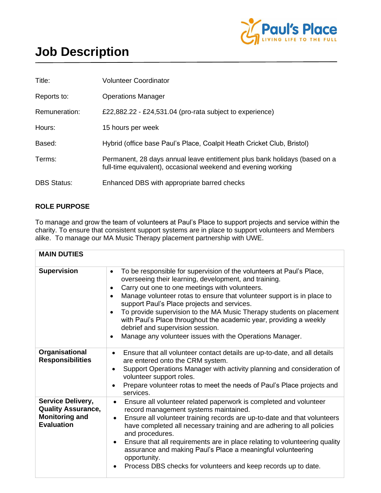

## **Job Description**

| Title:             | <b>Volunteer Coordinator</b>                                                                                                                |
|--------------------|---------------------------------------------------------------------------------------------------------------------------------------------|
| Reports to:        | <b>Operations Manager</b>                                                                                                                   |
| Remuneration:      | £22,882.22 - £24,531.04 (pro-rata subject to experience)                                                                                    |
| Hours:             | 15 hours per week                                                                                                                           |
| Based:             | Hybrid (office base Paul's Place, Coalpit Heath Cricket Club, Bristol)                                                                      |
| Terms:             | Permanent, 28 days annual leave entitlement plus bank holidays (based on a<br>full-time equivalent), occasional weekend and evening working |
| <b>DBS Status:</b> | Enhanced DBS with appropriate barred checks                                                                                                 |

## **ROLE PURPOSE**

To manage and grow the team of volunteers at Paul's Place to support projects and service within the charity. To ensure that consistent support systems are in place to support volunteers and Members alike. To manage our MA Music Therapy placement partnership with UWE.

| <b>MAIN DUTIES</b>                                                                                  |                                                                                                                                                                                                                                                                                                                                                                                                                                                                                                                                                                                                                         |
|-----------------------------------------------------------------------------------------------------|-------------------------------------------------------------------------------------------------------------------------------------------------------------------------------------------------------------------------------------------------------------------------------------------------------------------------------------------------------------------------------------------------------------------------------------------------------------------------------------------------------------------------------------------------------------------------------------------------------------------------|
| <b>Supervision</b>                                                                                  | To be responsible for supervision of the volunteers at Paul's Place,<br>$\bullet$<br>overseeing their learning, development, and training.<br>Carry out one to one meetings with volunteers.<br>$\bullet$<br>Manage volunteer rotas to ensure that volunteer support is in place to<br>$\bullet$<br>support Paul's Place projects and services.<br>To provide supervision to the MA Music Therapy students on placement<br>$\bullet$<br>with Paul's Place throughout the academic year, providing a weekly<br>debrief and supervision session.<br>Manage any volunteer issues with the Operations Manager.<br>$\bullet$ |
| Organisational<br><b>Responsibilities</b>                                                           | Ensure that all volunteer contact details are up-to-date, and all details<br>$\bullet$<br>are entered onto the CRM system.<br>Support Operations Manager with activity planning and consideration of<br>$\bullet$<br>volunteer support roles.<br>Prepare volunteer rotas to meet the needs of Paul's Place projects and<br>services.                                                                                                                                                                                                                                                                                    |
| <b>Service Delivery,</b><br><b>Quality Assurance,</b><br><b>Monitoring and</b><br><b>Evaluation</b> | Ensure all volunteer related paperwork is completed and volunteer<br>$\bullet$<br>record management systems maintained.<br>Ensure all volunteer training records are up-to-date and that volunteers<br>$\bullet$<br>have completed all necessary training and are adhering to all policies<br>and procedures.<br>Ensure that all requirements are in place relating to volunteering quality<br>$\bullet$<br>assurance and making Paul's Place a meaningful volunteering<br>opportunity.<br>Process DBS checks for volunteers and keep records up to date.                                                               |